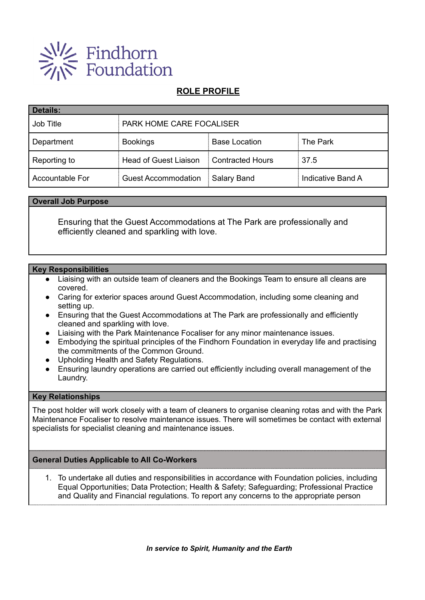

# **ROLE PROFILE**

| <b>Details:</b> |                                 |                         |                   |  |
|-----------------|---------------------------------|-------------------------|-------------------|--|
| Job Title       | <b>PARK HOME CARE FOCALISER</b> |                         |                   |  |
| Department      | <b>Bookings</b>                 | <b>Base Location</b>    | The Park          |  |
| Reporting to    | <b>Head of Guest Liaison</b>    | <b>Contracted Hours</b> | 37.5              |  |
| Accountable For | <b>Guest Accommodation</b>      | Salary Band             | Indicative Band A |  |

### **Overall Job Purpose**

Ensuring that the Guest Accommodations at The Park are professionally and efficiently cleaned and sparkling with love.

### **Key Responsibilities**

- Liaising with an outside team of cleaners and the Bookings Team to ensure all cleans are covered.
- Caring for exterior spaces around Guest Accommodation, including some cleaning and setting up.
- Ensuring that the Guest Accommodations at The Park are professionally and efficiently cleaned and sparkling with love.
- Liaising with the Park Maintenance Focaliser for any minor maintenance issues.
- Embodying the spiritual principles of the Findhorn Foundation in everyday life and practising the commitments of the Common Ground.
- Upholding Health and Safety Regulations.
- Ensuring laundry operations are carried out efficiently including overall management of the Laundry.

#### **Key Relationships**

The post holder will work closely with a team of cleaners to organise cleaning rotas and with the Park Maintenance Focaliser to resolve maintenance issues. There will sometimes be contact with external specialists for specialist cleaning and maintenance issues.

## **General Duties Applicable to All Co-Workers**

1. To undertake all duties and responsibilities in accordance with Foundation policies, including Equal Opportunities; Data Protection; Health & Safety; Safeguarding; Professional Practice and Quality and Financial regulations. To report any concerns to the appropriate person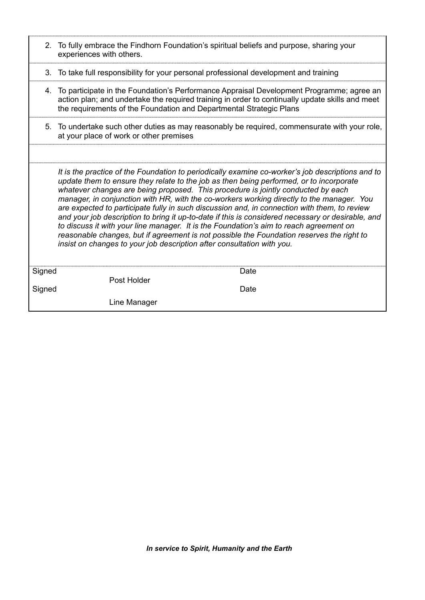|        | 2. To fully embrace the Findhorn Foundation's spiritual beliefs and purpose, sharing your<br>experiences with others.                                                                                                                                                                                                                                                                                                                                                                                                                                                                                                                                                                                                                                                                                                                              |  |  |  |
|--------|----------------------------------------------------------------------------------------------------------------------------------------------------------------------------------------------------------------------------------------------------------------------------------------------------------------------------------------------------------------------------------------------------------------------------------------------------------------------------------------------------------------------------------------------------------------------------------------------------------------------------------------------------------------------------------------------------------------------------------------------------------------------------------------------------------------------------------------------------|--|--|--|
|        | 3. To take full responsibility for your personal professional development and training                                                                                                                                                                                                                                                                                                                                                                                                                                                                                                                                                                                                                                                                                                                                                             |  |  |  |
|        | 4. To participate in the Foundation's Performance Appraisal Development Programme; agree an<br>action plan; and undertake the required training in order to continually update skills and meet<br>the requirements of the Foundation and Departmental Strategic Plans                                                                                                                                                                                                                                                                                                                                                                                                                                                                                                                                                                              |  |  |  |
|        | 5. To undertake such other duties as may reasonably be required, commensurate with your role,<br>at your place of work or other premises                                                                                                                                                                                                                                                                                                                                                                                                                                                                                                                                                                                                                                                                                                           |  |  |  |
|        |                                                                                                                                                                                                                                                                                                                                                                                                                                                                                                                                                                                                                                                                                                                                                                                                                                                    |  |  |  |
|        | It is the practice of the Foundation to periodically examine co-worker's job descriptions and to<br>update them to ensure they relate to the job as then being performed, or to incorporate<br>whatever changes are being proposed. This procedure is jointly conducted by each<br>manager, in conjunction with HR, with the co-workers working directly to the manager. You<br>are expected to participate fully in such discussion and, in connection with them, to review<br>and your job description to bring it up-to-date if this is considered necessary or desirable, and<br>to discuss it with your line manager. It is the Foundation's aim to reach agreement on<br>reasonable changes, but if agreement is not possible the Foundation reserves the right to<br>insist on changes to your job description after consultation with you. |  |  |  |
| Signed | Date<br>Post Holder                                                                                                                                                                                                                                                                                                                                                                                                                                                                                                                                                                                                                                                                                                                                                                                                                                |  |  |  |
| Signed | Date                                                                                                                                                                                                                                                                                                                                                                                                                                                                                                                                                                                                                                                                                                                                                                                                                                               |  |  |  |
|        | Line Manager                                                                                                                                                                                                                                                                                                                                                                                                                                                                                                                                                                                                                                                                                                                                                                                                                                       |  |  |  |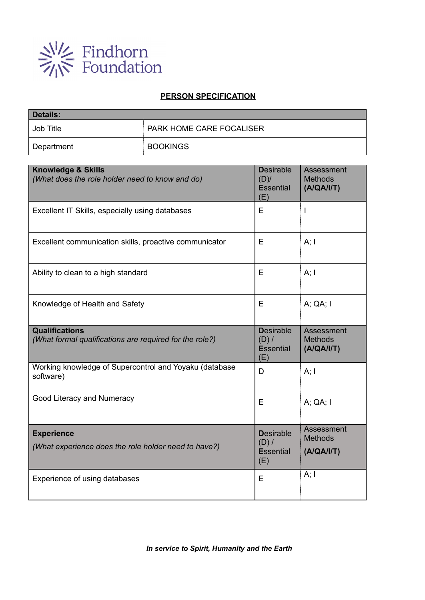

# **PERSON SPECIFICATION**

| <b>Details:</b> |                                 |  |  |  |
|-----------------|---------------------------------|--|--|--|
| Job Title       | <b>PARK HOME CARE FOCALISER</b> |  |  |  |
| Department      | <b>BOOKINGS</b>                 |  |  |  |

| <b>Knowledge &amp; Skills</b><br>(What does the role holder need to know and do) | <b>Desirable</b><br>$(D)$ /<br><b>Essential</b><br>(E) | Assessment<br><b>Methods</b><br>(A/QA/I/T) |
|----------------------------------------------------------------------------------|--------------------------------------------------------|--------------------------------------------|
| Excellent IT Skills, especially using databases                                  | E                                                      | T                                          |
| Excellent communication skills, proactive communicator                           | Е                                                      | A; I                                       |
| Ability to clean to a high standard                                              | E                                                      | A; I                                       |
| Knowledge of Health and Safety                                                   | E                                                      | A; QA; I                                   |
| <b>Qualifications</b><br>(What formal qualifications are required for the role?) | <b>Desirable</b><br>(D) /<br><b>Essential</b><br>(E)   | Assessment<br><b>Methods</b><br>(A/QA/I/T) |
| Working knowledge of Supercontrol and Yoyaku (database<br>software)              | D                                                      | A; I                                       |
| Good Literacy and Numeracy                                                       | E                                                      | A; QA; I                                   |
| <b>Experience</b><br>(What experience does the role holder need to have?)        | <b>Desirable</b><br>$(D)$ /<br><b>Essential</b><br>(E) | Assessment<br><b>Methods</b><br>(A/QA/I/T) |
| Experience of using databases                                                    | E                                                      | A; I                                       |